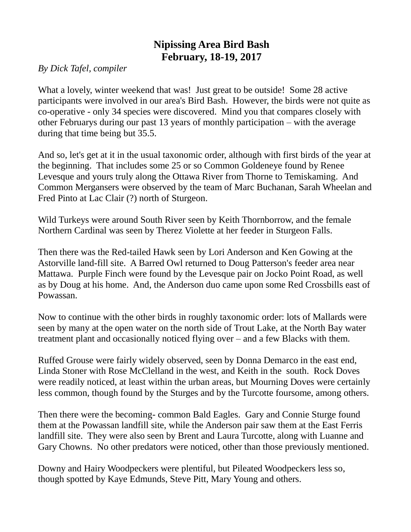## **Nipissing Area Bird Bash February, 18-19, 2017**

*By Dick Tafel, compiler*

What a lovely, winter weekend that was! Just great to be outside! Some 28 active participants were involved in our area's Bird Bash. However, the birds were not quite as co-operative - only 34 species were discovered. Mind you that compares closely with other Februarys during our past 13 years of monthly participation – with the average during that time being but 35.5.

And so, let's get at it in the usual taxonomic order, although with first birds of the year at the beginning. That includes some 25 or so Common Goldeneye found by Renee Levesque and yours truly along the Ottawa River from Thorne to Temiskaming. And Common Mergansers were observed by the team of Marc Buchanan, Sarah Wheelan and Fred Pinto at Lac Clair (?) north of Sturgeon.

Wild Turkeys were around South River seen by Keith Thornborrow, and the female Northern Cardinal was seen by Therez Violette at her feeder in Sturgeon Falls.

Then there was the Red-tailed Hawk seen by Lori Anderson and Ken Gowing at the Astorville land-fill site. A Barred Owl returned to Doug Patterson's feeder area near Mattawa. Purple Finch were found by the Levesque pair on Jocko Point Road, as well as by Doug at his home. And, the Anderson duo came upon some Red Crossbills east of Powassan.

Now to continue with the other birds in roughly taxonomic order: lots of Mallards were seen by many at the open water on the north side of Trout Lake, at the North Bay water treatment plant and occasionally noticed flying over – and a few Blacks with them.

Ruffed Grouse were fairly widely observed, seen by Donna Demarco in the east end, Linda Stoner with Rose McClelland in the west, and Keith in the south. Rock Doves were readily noticed, at least within the urban areas, but Mourning Doves were certainly less common, though found by the Sturges and by the Turcotte foursome, among others.

Then there were the becoming- common Bald Eagles. Gary and Connie Sturge found them at the Powassan landfill site, while the Anderson pair saw them at the East Ferris landfill site. They were also seen by Brent and Laura Turcotte, along with Luanne and Gary Chowns. No other predators were noticed, other than those previously mentioned.

Downy and Hairy Woodpeckers were plentiful, but Pileated Woodpeckers less so, though spotted by Kaye Edmunds, Steve Pitt, Mary Young and others.